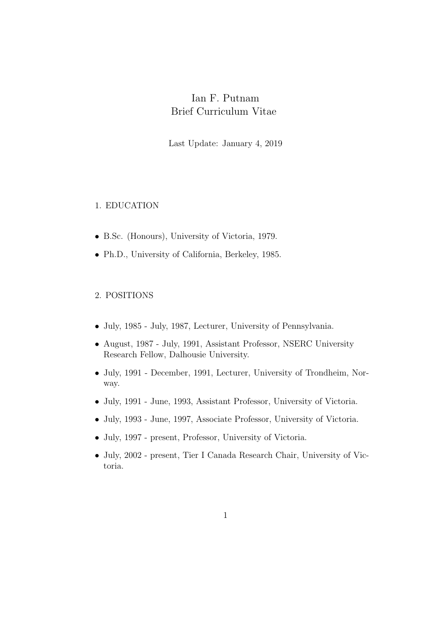# Ian F. Putnam Brief Curriculum Vitae

Last Update: January 4, 2019

## 1. EDUCATION

- B.Sc. (Honours), University of Victoria, 1979.
- Ph.D., University of California, Berkeley, 1985.

## 2. POSITIONS

- July, 1985 July, 1987, Lecturer, University of Pennsylvania.
- August, 1987 July, 1991, Assistant Professor, NSERC University Research Fellow, Dalhousie University.
- July, 1991 December, 1991, Lecturer, University of Trondheim, Norway.
- July, 1991 June, 1993, Assistant Professor, University of Victoria.
- July, 1993 June, 1997, Associate Professor, University of Victoria.
- July, 1997 present, Professor, University of Victoria.
- July, 2002 present, Tier I Canada Research Chair, University of Victoria.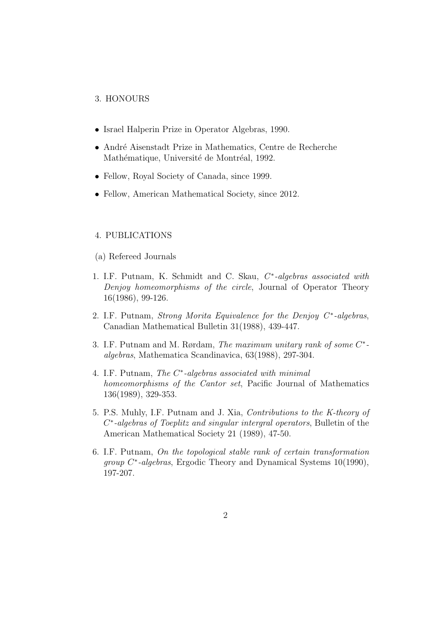#### 3. HONOURS

- Israel Halperin Prize in Operator Algebras, 1990.
- André Aisenstadt Prize in Mathematics, Centre de Recherche Mathématique, Université de Montréal, 1992.
- Fellow, Royal Society of Canada, since 1999.
- Fellow, American Mathematical Society, since 2012.

#### 4. PUBLICATIONS

- (a) Refereed Journals
- 1. I.F. Putnam, K. Schmidt and C. Skau,  $C^*$ -algebras associated with Denjoy homeomorphisms of the circle, Journal of Operator Theory 16(1986), 99-126.
- 2. I.F. Putnam, Strong Morita Equivalence for the Denjoy  $C^*$ -algebras, Canadian Mathematical Bulletin 31(1988), 439-447.
- 3. I.F. Putnam and M. Rørdam, The maximum unitary rank of some  $C^*$ algebras, Mathematica Scandinavica, 63(1988), 297-304.
- 4. I.F. Putnam, The C<sup>\*</sup>-algebras associated with minimal homeomorphisms of the Cantor set, Pacific Journal of Mathematics 136(1989), 329-353.
- 5. P.S. Muhly, I.F. Putnam and J. Xia, Contributions to the K-theory of C<sup>\*</sup>-algebras of Toeplitz and singular intergral operators, Bulletin of the American Mathematical Society 21 (1989), 47-50.
- 6. I.F. Putnam, On the topological stable rank of certain transformation group C<sup>\*</sup>-algebras, Ergodic Theory and Dynamical Systems 10(1990), 197-207.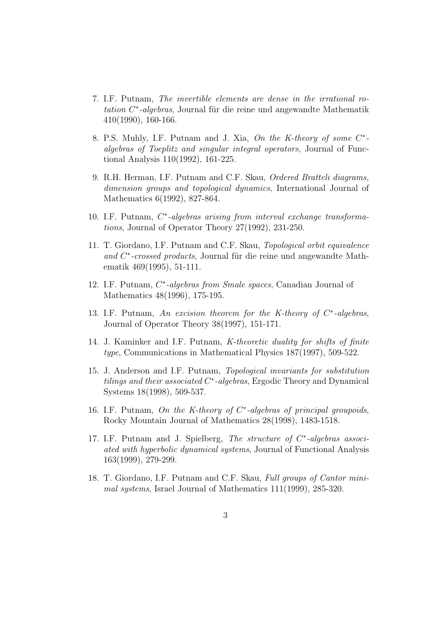- 7. I.F. Putnam, The invertible elements are dense in the irrational ro $tation C*-algebras$ , Journal für die reine und angewandte Mathematik 410(1990), 160-166.
- 8. P.S. Muhly, I.F. Putnam and J. Xia, On the K-theory of some  $C^*$ algebras of Toeplitz and singular integral operators, Journal of Functional Analysis 110(1992), 161-225.
- 9. R.H. Herman, I.F. Putnam and C.F. Skau, Ordered Bratteli diagrams, dimension groups and topological dynamics, International Journal of Mathematics 6(1992), 827-864.
- 10. I.F. Putnam, C\*-algebras arising from interval exchange transformations, Journal of Operator Theory 27(1992), 231-250.
- 11. T. Giordano, I.F. Putnam and C.F. Skau, Topological orbit equivalence and C<sup>\*</sup>-crossed products, Journal für die reine und angewandte Mathematik 469(1995), 51-111.
- 12. I.F. Putnam,  $C^*$ -algebras from Smale spaces, Canadian Journal of Mathematics 48(1996), 175-195.
- 13. I.F. Putnam, An excision theorem for the K-theory of  $C^*$ -algebras, Journal of Operator Theory 38(1997), 151-171.
- 14. J. Kaminker and I.F. Putnam, K-theoretic duality for shifts of finite type, Communications in Mathematical Physics 187(1997), 509-522.
- 15. J. Anderson and I.F. Putnam, Topological invariants for substitution tilings and their associated C<sup>\*</sup>-algebras, Ergodic Theory and Dynamical Systems 18(1998), 509-537.
- 16. I.F. Putnam, On the K-theory of  $C^*$ -algebras of principal groupoids, Rocky Mountain Journal of Mathematics 28(1998), 1483-1518.
- 17. I.F. Putnam and J. Spielberg, The structure of  $C^*$ -algebras associated with hyperbolic dynamical systems, Journal of Functional Analysis 163(1999), 279-299.
- 18. T. Giordano, I.F. Putnam and C.F. Skau, Full groups of Cantor minimal systems, Israel Journal of Mathematics 111(1999), 285-320.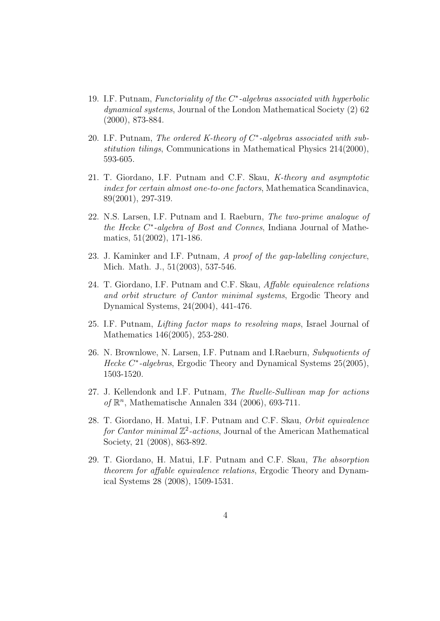- 19. I.F. Putnam, Functoriality of the C<sup>\*</sup>-algebras associated with hyperbolic dynamical systems, Journal of the London Mathematical Society (2) 62 (2000), 873-884.
- 20. I.F. Putnam, The ordered K-theory of  $C^*$ -algebras associated with substitution tilings, Communications in Mathematical Physics 214(2000), 593-605.
- 21. T. Giordano, I.F. Putnam and C.F. Skau, K-theory and asymptotic index for certain almost one-to-one factors, Mathematica Scandinavica, 89(2001), 297-319.
- 22. N.S. Larsen, I.F. Putnam and I. Raeburn, The two-prime analogue of the Hecke C<sup>\*</sup>-algebra of Bost and Connes, Indiana Journal of Mathematics, 51(2002), 171-186.
- 23. J. Kaminker and I.F. Putnam, A proof of the gap-labelling conjecture, Mich. Math. J., 51(2003), 537-546.
- 24. T. Giordano, I.F. Putnam and C.F. Skau, Affable equivalence relations and orbit structure of Cantor minimal systems, Ergodic Theory and Dynamical Systems, 24(2004), 441-476.
- 25. I.F. Putnam, Lifting factor maps to resolving maps, Israel Journal of Mathematics 146(2005), 253-280.
- 26. N. Brownlowe, N. Larsen, I.F. Putnam and I.Raeburn, Subquotients of Hecke C<sup>\*</sup>-algebras, Ergodic Theory and Dynamical Systems 25(2005), 1503-1520.
- 27. J. Kellendonk and I.F. Putnam, The Ruelle-Sullivan map for actions of  $\mathbb{R}^n$ , Mathematische Annalen 334 (2006), 693-711.
- 28. T. Giordano, H. Matui, I.F. Putnam and C.F. Skau, Orbit equivalence for Cantor minimal  $\mathbb{Z}^2$ -actions, Journal of the American Mathematical Society, 21 (2008), 863-892.
- 29. T. Giordano, H. Matui, I.F. Putnam and C.F. Skau, The absorption theorem for affable equivalence relations, Ergodic Theory and Dynamical Systems 28 (2008), 1509-1531.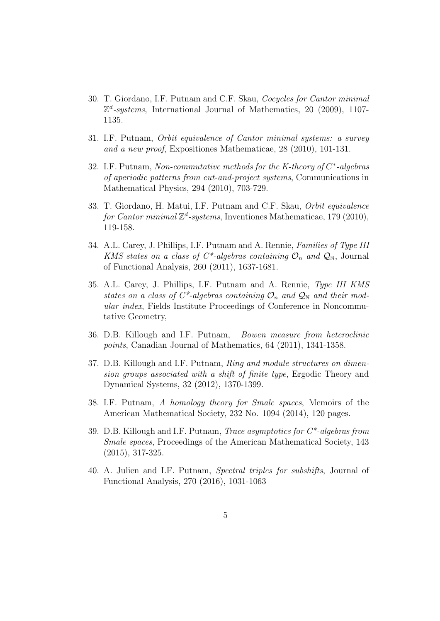- 30. T. Giordano, I.F. Putnam and C.F. Skau, Cocycles for Cantor minimal  $\mathbb{Z}^d$ -systems, International Journal of Mathematics, 20 (2009), 1107-1135.
- 31. I.F. Putnam, Orbit equivalence of Cantor minimal systems: a survey and a new proof, Expositiones Mathematicae, 28 (2010), 101-131.
- 32. I.F. Putnam, Non-commutative methods for the K-theory of  $C^*$ -algebras of aperiodic patterns from cut-and-project systems, Communications in Mathematical Physics, 294 (2010), 703-729.
- 33. T. Giordano, H. Matui, I.F. Putnam and C.F. Skau, Orbit equivalence for Cantor minimal  $\mathbb{Z}^d$ -systems, Inventiones Mathematicae, 179 (2010), 119-158.
- 34. A.L. Carey, J. Phillips, I.F. Putnam and A. Rennie, Families of Type III KMS states on a class of C\*-algebras containing  $\mathcal{O}_n$  and  $\mathcal{Q}_N$ , Journal of Functional Analysis, 260 (2011), 1637-1681.
- 35. A.L. Carey, J. Phillips, I.F. Putnam and A. Rennie, Type III KMS states on a class of  $C^*$ -algebras containing  $\mathcal{O}_n$  and  $\mathcal{Q}_N$  and their modular index, Fields Institute Proceedings of Conference in Noncommutative Geometry,
- 36. D.B. Killough and I.F. Putnam, Bowen measure from heteroclinic points, Canadian Journal of Mathematics, 64 (2011), 1341-1358.
- 37. D.B. Killough and I.F. Putnam, Ring and module structures on dimension groups associated with a shift of finite type, Ergodic Theory and Dynamical Systems, 32 (2012), 1370-1399.
- 38. I.F. Putnam, A homology theory for Smale spaces, Memoirs of the American Mathematical Society, 232 No. 1094 (2014), 120 pages.
- 39. D.B. Killough and I.F. Putnam, *Trace asymptotics for*  $C^*$ -algebras from Smale spaces, Proceedings of the American Mathematical Society, 143 (2015), 317-325.
- 40. A. Julien and I.F. Putnam, Spectral triples for subshifts, Journal of Functional Analysis, 270 (2016), 1031-1063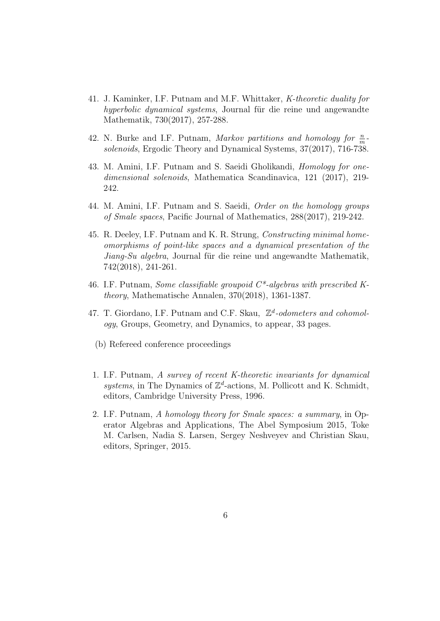- 41. J. Kaminker, I.F. Putnam and M.F. Whittaker, K-theoretic duality for hyperbolic dynamical systems, Journal für die reine und angewandte Mathematik, 730(2017), 257-288.
- 42. N. Burke and I.F. Putnam, Markov partitions and homology for  $\frac{n}{m}$ . solenoids, Ergodic Theory and Dynamical Systems, 37(2017), 716-738.
- 43. M. Amini, I.F. Putnam and S. Saeidi Gholikandi, Homology for onedimensional solenoids, Mathematica Scandinavica, 121 (2017), 219- 242.
- 44. M. Amini, I.F. Putnam and S. Saeidi, Order on the homology groups of Smale spaces, Pacific Journal of Mathematics, 288(2017), 219-242.
- 45. R. Deeley, I.F. Putnam and K. R. Strung, Constructing minimal homeomorphisms of point-like spaces and a dynamical presentation of the Jiang-Su algebra, Journal für die reine und angewandte Mathematik, 742(2018), 241-261.
- 46. I.F. Putnam, Some classifiable groupoid  $C^*$ -algebras with prescribed Ktheory, Mathematische Annalen, 370(2018), 1361-1387.
- 47. T. Giordano, I.F. Putnam and C.F. Skau,  $\mathbb{Z}^d$ -odometers and cohomology, Groups, Geometry, and Dynamics, to appear, 33 pages.
	- (b) Refereed conference proceedings
- 1. I.F. Putnam, A survey of recent K-theoretic invariants for dynamical systems, in The Dynamics of  $\mathbb{Z}^d$ -actions, M. Pollicott and K. Schmidt, editors, Cambridge University Press, 1996.
- 2. I.F. Putnam, A homology theory for Smale spaces: a summary, in Operator Algebras and Applications, The Abel Symposium 2015, Toke M. Carlsen, Nadia S. Larsen, Sergey Neshveyev and Christian Skau, editors, Springer, 2015.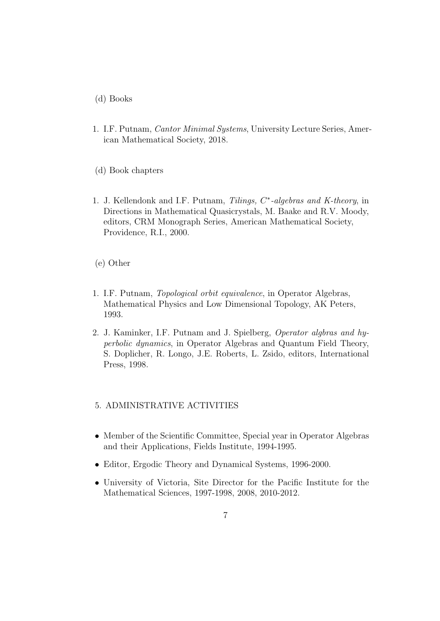(d) Books

- 1. I.F. Putnam, Cantor Minimal Systems, University Lecture Series, American Mathematical Society, 2018.
- (d) Book chapters
- 1. J. Kellendonk and I.F. Putnam, Tilings, C<sup>\*</sup>-algebras and K-theory, in Directions in Mathematical Quasicrystals, M. Baake and R.V. Moody, editors, CRM Monograph Series, American Mathematical Society, Providence, R.I., 2000.

(e) Other

- 1. I.F. Putnam, Topological orbit equivalence, in Operator Algebras, Mathematical Physics and Low Dimensional Topology, AK Peters, 1993.
- 2. J. Kaminker, I.F. Putnam and J. Spielberg, Operator algbras and hyperbolic dynamics, in Operator Algebras and Quantum Field Theory, S. Doplicher, R. Longo, J.E. Roberts, L. Zsido, editors, International Press, 1998.

### 5. ADMINISTRATIVE ACTIVITIES

- Member of the Scientific Committee, Special year in Operator Algebras and their Applications, Fields Institute, 1994-1995.
- Editor, Ergodic Theory and Dynamical Systems, 1996-2000.
- University of Victoria, Site Director for the Pacific Institute for the Mathematical Sciences, 1997-1998, 2008, 2010-2012.